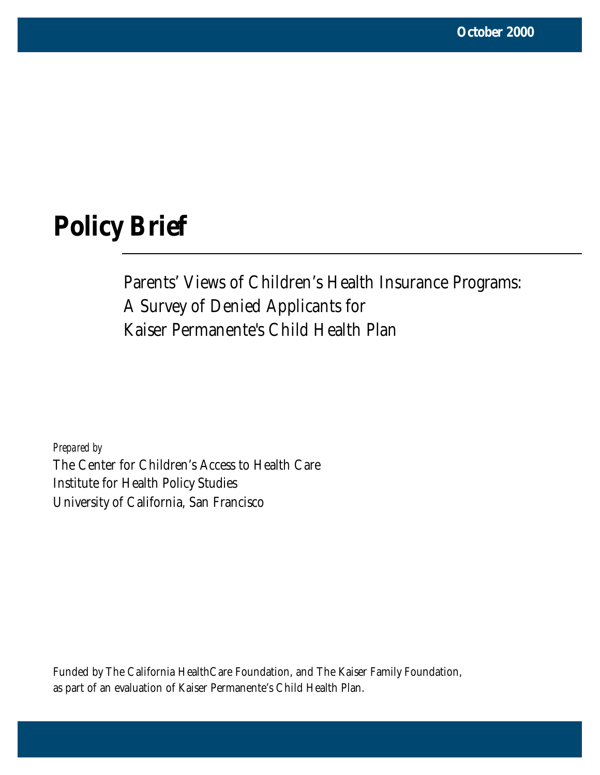# **Policy Brief**

Parents' Views of Children's Health Insurance Programs: A Survey of Denied Applicants for Kaiser Permanente's Child Health Plan

*Prepared by* The Center for Children's Access to Health Care Institute for Health Policy Studies University of California, San Francisco

Funded by The California HealthCare Foundation, and The Kaiser Family Foundation, as part of an evaluation of Kaiser Permanente's Child Health Plan.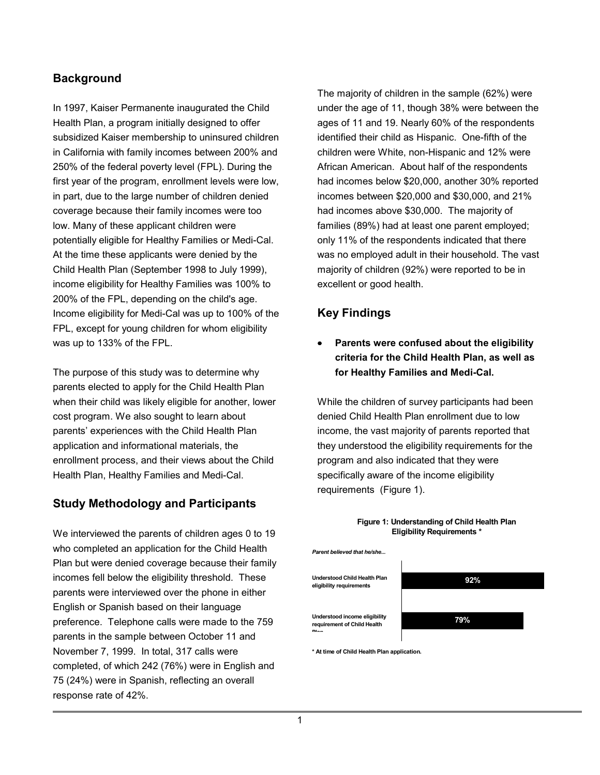# **Background**

In 1997, Kaiser Permanente inaugurated the Child Health Plan, a program initially designed to offer subsidized Kaiser membership to uninsured children in California with family incomes between 200% and 250% of the federal poverty level (FPL). During the first year of the program, enrollment levels were low, in part, due to the large number of children denied coverage because their family incomes were too low. Many of these applicant children were potentially eligible for Healthy Families or Medi-Cal. At the time these applicants were denied by the Child Health Plan (September 1998 to July 1999), income eligibility for Healthy Families was 100% to 200% of the FPL, depending on the child's age. Income eligibility for Medi-Cal was up to 100% of the FPL, except for young children for whom eligibility was up to 133% of the FPL.

The purpose of this study was to determine why parents elected to apply for the Child Health Plan when their child was likely eligible for another, lower cost program. We also sought to learn about parents' experiences with the Child Health Plan application and informational materials, the enrollment process, and their views about the Child Health Plan, Healthy Families and Medi-Cal.

# **Study Methodology and Participants**

We interviewed the parents of children ages 0 to 19 who completed an application for the Child Health Plan but were denied coverage because their family incomes fell below the eligibility threshold. These parents were interviewed over the phone in either English or Spanish based on their language preference. Telephone calls were made to the 759 parents in the sample between October 11 and November 7, 1999.In total, 317 calls were completed, of which 242 (76%) were in English and 75 (24%) were in Spanish, reflecting an overall response rate of 42%.

The majority of children in the sample (62%) were under the age of 11, though 38% were between the ages of 11 and 19. Nearly 60% of the respondents identified their child as Hispanic. One-fifth of the children were White, non-Hispanic and 12% were African American. About half of the respondents had incomes below \$20,000, another 30% reported incomes between \$20,000 and \$30,000, and 21% had incomes above \$30,000. The majority of families (89%) had at least one parent employed; only 11% of the respondents indicated that there was no employed adult in their household. The vast majority of children (92%) were reported to be in excellent or good health.

# **Key Findings**

• **Parents were confused about the eligibility criteria for the Child Health Plan, as well as for Healthy Families and Medi-Cal.**

While the children of survey participants had been denied Child Health Plan enrollment due to low income, the vast majority of parents reported that they understood the eligibility requirements for the program and also indicated that they were specifically aware of the income eligibility requirements (Figure 1).



**Figure 1: Understanding of Child Health Plan Eligibility Requirements \***

**\* At time of Child Health Plan application.**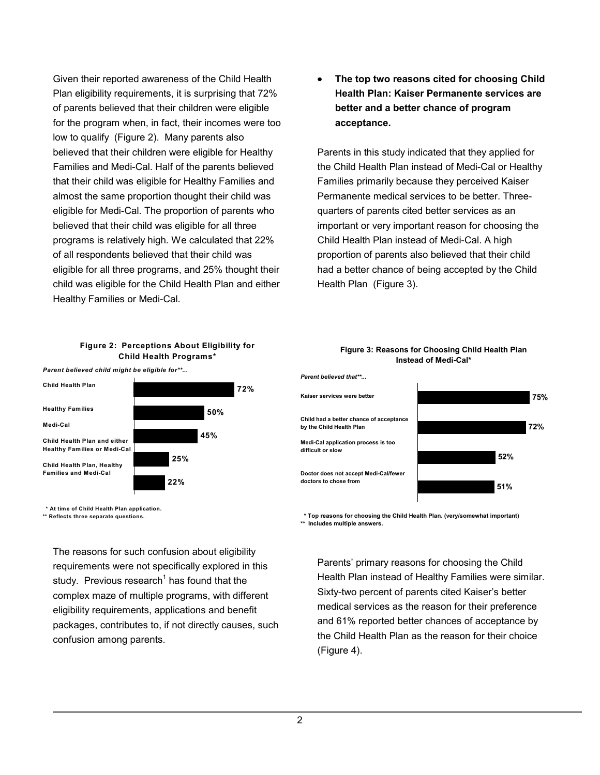Given their reported awareness of the Child Health Plan eligibility requirements, it is surprising that 72% of parents believed that their children were eligible for the program when, in fact, their incomes were too low to qualify (Figure 2). Many parents also believed that their children were eligible for Healthy Families and Medi-Cal. Half of the parents believed that their child was eligible for Healthy Families and almost the same proportion thought their child was eligible for Medi-Cal. The proportion of parents who believed that their child was eligible for all three programs is relatively high. We calculated that 22% of all respondents believed that their child was eligible for all three programs, and 25% thought their child was eligible for the Child Health Plan and either Healthy Families or Medi-Cal.

#### **Figure 2: Perceptions About Eligibility for Child Health Programs\***



 **\* At time of Child Health Plan application. \*\* Reflects three separate questions.**

The reasons for such confusion about eligibility requirements were not specifically explored in this study. Previous research<sup>1</sup> has found that the complex maze of multiple programs, with different eligibility requirements, applications and benefit packages, contributes to, if not directly causes, such confusion among parents.

• **The top two reasons cited for choosing Child Health Plan: Kaiser Permanente services are better and a better chance of program acceptance.** 

Parents in this study indicated that they applied for the Child Health Plan instead of Medi-Cal or Healthy Families primarily because they perceived Kaiser Permanente medical services to be better. Threequarters of parents cited better services as an important or very important reason for choosing the Child Health Plan instead of Medi-Cal. A high proportion of parents also believed that their child had a better chance of being accepted by the Child Health Plan (Figure 3).



**Figure 3: Reasons for Choosing Child Health Plan Instead of Medi-Cal\***

 **\* Top reasons for choosing the Child Health Plan. (very/somewhat important) \*\* Includes multiple answers.**

Parents' primary reasons for choosing the Child Health Plan instead of Healthy Families were similar. Sixty-two percent of parents cited Kaiser's better medical services as the reason for their preference and 61% reported better chances of acceptance by the Child Health Plan as the reason for their choice (Figure 4).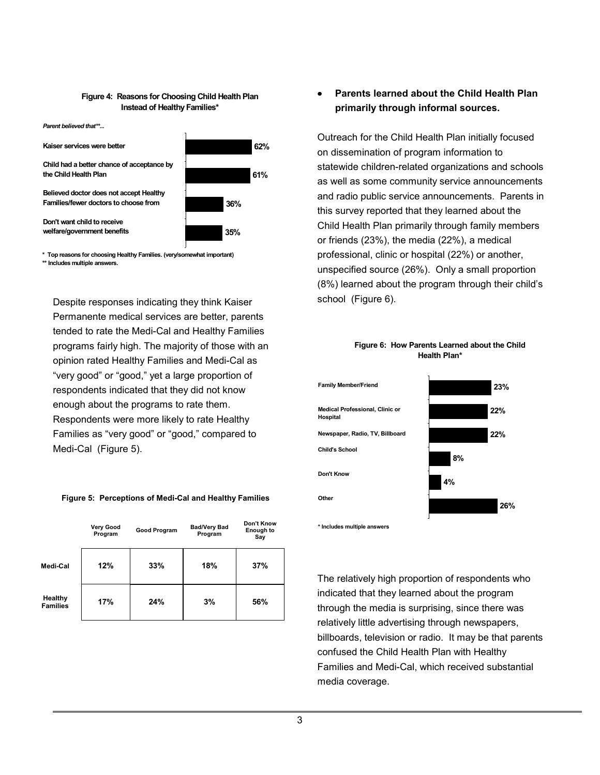#### **Figure 4: Reasons for Choosing Child Health Plan Instead of Healthy Families\***

*Parent believed that\*\*...*



**\* Top reasons for choosing Healthy Families. (very/somewhat important) \*\* Includes multiple answers.**

Despite responses indicating they think Kaiser Permanente medical services are better, parents tended to rate the Medi-Cal and Healthy Families programs fairly high. The majority of those with an opinion rated Healthy Families and Medi-Cal as "very good" or "good," yet a large proportion of respondents indicated that they did not know enough about the programs to rate them. Respondents were more likely to rate Healthy Families as "very good" or "good," compared to Medi-Cal (Figure 5).

#### **Figure 5: Perceptions of Medi-Cal and Healthy Families**

|                            | <b>Very Good</b><br>Program | <b>Good Program</b> | <b>Bad/Very Bad</b><br>Program | Don't Know<br><b>Enough to</b><br>Say |
|----------------------------|-----------------------------|---------------------|--------------------------------|---------------------------------------|
| Medi-Cal                   | 12%                         | 33%                 | 18%                            | 37%                                   |
| Healthy<br><b>Families</b> | 17%                         | 24%                 | 3%                             | 56%                                   |

## • **Parents learned about the Child Health Plan primarily through informal sources.**

Outreach for the Child Health Plan initially focused on dissemination of program information to statewide children-related organizations and schools as well as some community service announcements and radio public service announcements. Parents in this survey reported that they learned about the Child Health Plan primarily through family members or friends (23%), the media (22%), a medical professional, clinic or hospital (22%) or another, unspecified source (26%). Only a small proportion (8%) learned about the program through their child's school (Figure 6).

> **Figure 6: How Parents Learned about the Child Health Plan\***



**\* Includes multiple answers**

The relatively high proportion of respondents who indicated that they learned about the program through the media is surprising, since there was relatively little advertising through newspapers, billboards, television or radio. It may be that parents confused the Child Health Plan with Healthy Families and Medi-Cal, which received substantial media coverage.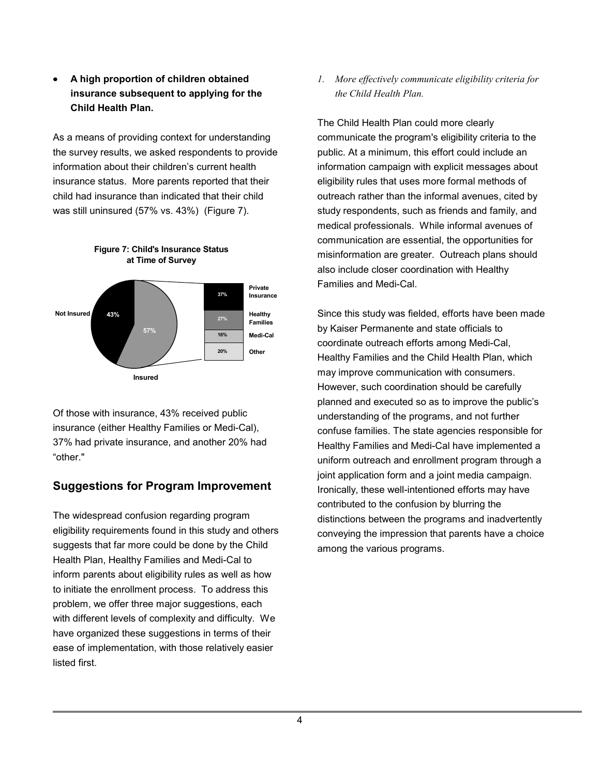• **A high proportion of children obtained insurance subsequent to applying for the Child Health Plan.** 

As a means of providing context for understanding the survey results, we asked respondents to provide information about their children's current health insurance status. More parents reported that their child had insurance than indicated that their child was still uninsured (57% vs. 43%) (Figure 7).

**Figure 7: Child's Insurance Status** 



Of those with insurance, 43% received public insurance (either Healthy Families or Medi-Cal), 37% had private insurance, and another 20% had "other."

## **Suggestions for Program Improvement**

The widespread confusion regarding program eligibility requirements found in this study and others suggests that far more could be done by the Child Health Plan, Healthy Families and Medi-Cal to inform parents about eligibility rules as well as how to initiate the enrollment process. To address this problem, we offer three major suggestions, each with different levels of complexity and difficulty. We have organized these suggestions in terms of their ease of implementation, with those relatively easier listed first.

*1. More effectively communicate eligibility criteria for the Child Health Plan.* 

The Child Health Plan could more clearly communicate the program's eligibility criteria to the public. At a minimum, this effort could include an information campaign with explicit messages about eligibility rules that uses more formal methods of outreach rather than the informal avenues, cited by study respondents, such as friends and family, and medical professionals. While informal avenues of communication are essential, the opportunities for misinformation are greater. Outreach plans should also include closer coordination with Healthy Families and Medi-Cal.

Since this study was fielded, efforts have been made by Kaiser Permanente and state officials to coordinate outreach efforts among Medi-Cal, Healthy Families and the Child Health Plan, which may improve communication with consumers. However, such coordination should be carefully planned and executed so as to improve the public's understanding of the programs, and not further confuse families. The state agencies responsible for Healthy Families and Medi-Cal have implemented a uniform outreach and enrollment program through a joint application form and a joint media campaign. Ironically, these well-intentioned efforts may have contributed to the confusion by blurring the distinctions between the programs and inadvertently conveying the impression that parents have a choice among the various programs.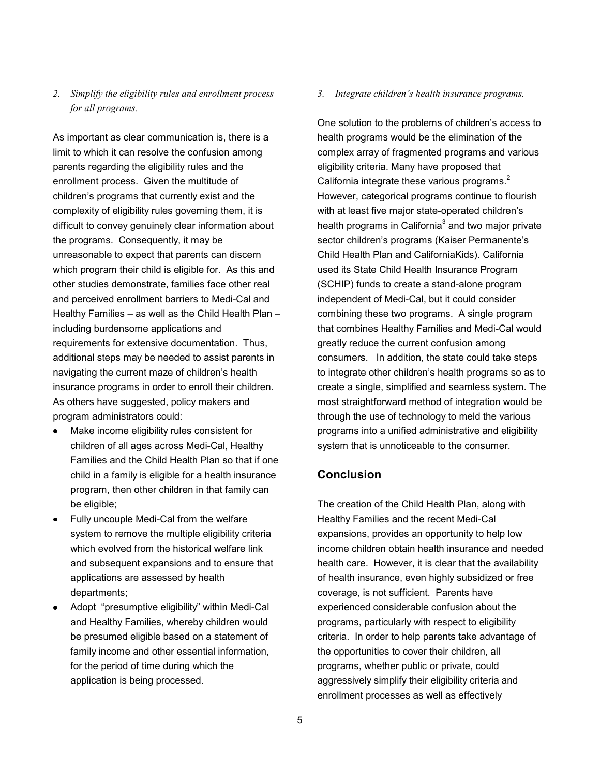*2. Simplify the eligibility rules and enrollment process for all programs.* 

As important as clear communication is, there is a limit to which it can resolve the confusion among parents regarding the eligibility rules and the enrollment process. Given the multitude of children's programs that currently exist and the complexity of eligibility rules governing them, it is difficult to convey genuinely clear information about the programs. Consequently, it may be unreasonable to expect that parents can discern which program their child is eligible for. As this and other studies demonstrate, families face other real and perceived enrollment barriers to Medi-Cal and Healthy Families – as well as the Child Health Plan – including burdensome applications and requirements for extensive documentation. Thus, additional steps may be needed to assist parents in navigating the current maze of children's health insurance programs in order to enroll their children. As others have suggested, policy makers and program administrators could:

- Make income eligibility rules consistent for children of all ages across Medi-Cal, Healthy Families and the Child Health Plan so that if one child in a family is eligible for a health insurance program, then other children in that family can be eligible;
- Fully uncouple Medi-Cal from the welfare system to remove the multiple eligibility criteria which evolved from the historical welfare link and subsequent expansions and to ensure that applications are assessed by health departments;
- Adopt "presumptive eligibility" within Medi-Cal and Healthy Families, whereby children would be presumed eligible based on a statement of family income and other essential information, for the period of time during which the application is being processed.

*3. Integrate children's health insurance programs.*

One solution to the problems of children's access to health programs would be the elimination of the complex array of fragmented programs and various eligibility criteria. Many have proposed that California integrate these various programs. $2$ However, categorical programs continue to flourish with at least five major state-operated children's health programs in California<sup>3</sup> and two major private sector children's programs (Kaiser Permanente's Child Health Plan and CaliforniaKids). California used its State Child Health Insurance Program (SCHIP) funds to create a stand-alone program independent of Medi-Cal, but it could consider combining these two programs. A single program that combines Healthy Families and Medi-Cal would greatly reduce the current confusion among consumers. In addition, the state could take steps to integrate other children's health programs so as to create a single, simplified and seamless system. The most straightforward method of integration would be through the use of technology to meld the various programs into a unified administrative and eligibility system that is unnoticeable to the consumer.

## **Conclusion**

The creation of the Child Health Plan, along with Healthy Families and the recent Medi-Cal expansions, provides an opportunity to help low income children obtain health insurance and needed health care. However, it is clear that the availability of health insurance, even highly subsidized or free coverage, is not sufficient. Parents have experienced considerable confusion about the programs, particularly with respect to eligibility criteria. In order to help parents take advantage of the opportunities to cover their children, all programs, whether public or private, could aggressively simplify their eligibility criteria and enrollment processes as well as effectively